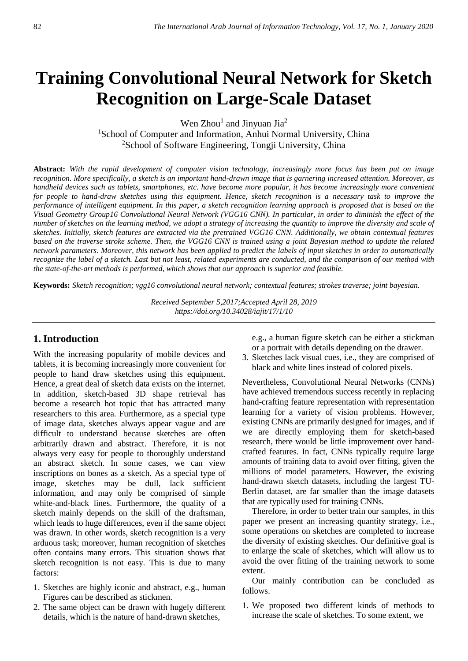# **Training Convolutional Neural Network for Sketch Recognition on Large-Scale Dataset**

Wen  $Zhou<sup>1</sup>$  and Jinyuan Jia<sup>2</sup>

<sup>1</sup>School of Computer and Information, Anhui Normal University, China <sup>2</sup>School of Software Engineering, Tongji University, China

**Abstract:** *With the rapid development of computer vision technology, increasingly more focus has been put on image recognition. More specifically, a sketch is an important hand-drawn image that is garnering increased attention. Moreover, as handheld devices such as tablets, smartphones, etc. have become more popular, it has become increasingly more convenient for people to hand-draw sketches using this equipment. Hence, sketch recognition is a necessary task to improve the performance of intelligent equipment. In this paper, a sketch recognition learning approach is proposed that is based on the Visual Geometry Group16 Convolutional Neural Network (VGG16 CNN). In particular, in order to diminish the effect of the number of sketches on the learning method, we adopt a strategy of increasing the quantity to improve the diversity and scale of sketches. Initially, sketch features are extracted via the pretrained VGG16 CNN. Additionally, we obtain contextual features based on the traverse stroke scheme. Then, the VGG16 CNN is trained using a joint Bayesian method to update the related network parameters. Moreover, this network has been applied to predict the labels of input sketches in order to automatically recognize the label of a sketch. Last but not least, related experiments are conducted, and the comparison of our method with the state-of-the-art methods is performed, which shows that our approach is superior and feasible.*

**Keywords:** *Sketch recognition; vgg16 convolutional neural network; contextual features; strokes traverse; joint bayesian.*

*Received September 5,2017;Accepted April 28, 2019 https://doi.org/10.34028/iajit/17/1/10*

# **1. Introduction**

With the increasing popularity of mobile devices and tablets, it is becoming increasingly more convenient for people to hand draw sketches using this equipment. Hence, a great deal of sketch data exists on the internet. In addition, sketch-based 3D shape retrieval has become a research hot topic that has attracted many researchers to this area. Furthermore, as a special type of image data, sketches always appear vague and are difficult to understand because sketches are often arbitrarily drawn and abstract. Therefore, it is not always very easy for people to thoroughly understand an abstract sketch. In some cases, we can view inscriptions on bones as a sketch. As a special type of image, sketches may be dull, lack sufficient information, and may only be comprised of simple white-and-black lines. Furthermore, the quality of a sketch mainly depends on the skill of the draftsman, which leads to huge differences, even if the same object was drawn. In other words, sketch recognition is a very arduous task; moreover, human recognition of sketches often contains many errors. This situation shows that sketch recognition is not easy. This is due to many factors:

- 1. Sketches are highly iconic and abstract, e.g., human Figures can be described as stickmen.
- 2. The same object can be drawn with hugely different details, which is the nature of hand-drawn sketches,

e.g., a human figure sketch can be either a stickman or a portrait with details depending on the drawer.

3. Sketches lack visual cues, i.e., they are comprised of black and white lines instead of colored pixels.

Nevertheless, Convolutional Neural Networks (CNNs) have achieved tremendous success recently in replacing hand-crafting feature representation with representation learning for a variety of vision problems. However, existing CNNs are primarily designed for images, and if we are directly employing them for sketch-based research, there would be little improvement over handcrafted features. In fact, CNNs typically require large amounts of training data to avoid over fitting, given the millions of model parameters. However, the existing hand-drawn sketch datasets, including the largest TU-Berlin dataset, are far smaller than the image datasets that are typically used for training CNNs.

Therefore, in order to better train our samples, in this paper we present an increasing quantity strategy, i.e., some operations on sketches are completed to increase the diversity of existing sketches. Our definitive goal is to enlarge the scale of sketches, which will allow us to avoid the over fitting of the training network to some extent.

Our mainly contribution can be concluded as follows.

1. We proposed two different kinds of methods to increase the scale of sketches. To some extent, we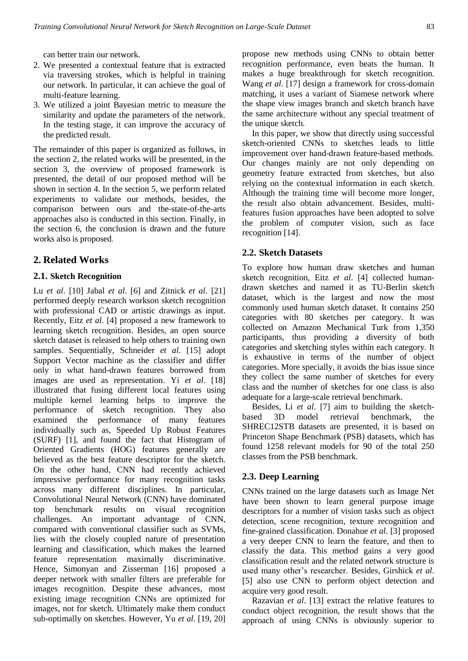can better train our network.

- 2. We presented a contextual feature that is extracted via traversing strokes, which is helpful in training our network. In particular, it can achieve the goal of multi-feature learning.
- 3. We utilized a joint Bayesian metric to measure the similarity and update the parameters of the network. In the testing stage, it can improve the accuracy of the predicted result.

The remainder of this paper is organized as follows, in the section 2, the related works will be presented, in the section 3, the overview of proposed framework is presented, the detail of our proposed method will be shown in section 4. In the section 5, we perform related experiments to validate our methods, besides, the comparison between ours and the-state-of-the-arts approaches also is conducted in this section. Finally, in the section 6, the conclusion is drawn and the future works also is proposed.

# **2. Related Works**

# **2.1. Sketch Recognition**

Lu *et al*. [10] Jabal *et al*. [6] and Zitnick *et al*. [21] performed deeply research workson sketch recognition with professional CAD or artistic drawings as input. Recently, Eitz *et al*. [4] proposed a new framework to learning sketch recognition. Besides, an open source sketch dataset is released to help others to training own samples. Sequentially, Schneider *et al.* [15] adopt Support Vector machine as the classifier and differ only in what hand-drawn features borrowed from images are used as representation. Yi *et al*. [18] illustrated that fusing different local features using multiple kernel learning helps to improve the performance of sketch recognition. They also examined the performance of many features individually such as, Speeded Up Robust Features (SURF) [1], and found the fact that Histogram of Oriented Gradients (HOG) features generally are believed as the best feature descriptor for the sketch. On the other hand, CNN had recently achieved impressive performance for many recognition tasks across many different disciplines. In particular, Convolutional Neural Network (CNN) have dominated top benchmark results on visual recognition challenges. An important advantage of CNN, compared with conventional classifier such as SVMs, lies with the closely coupled nature of presentation learning and classification, which makes the learned feature representation maximally discriminative. Hence, Simonyan and Zisserman [16] proposed a deeper network with smaller filters are preferable for images recognition. Despite these advances, most existing image recognition CNNs are optimized for images, not for sketch. Ultimately make them conduct sub-optimally on sketches. However, Yu *et al*. [19, 20]

propose new methods using CNNs to obtain better recognition performance, even beats the human. It makes a huge breakthrough for sketch recognition. Wang *et al*. [17] design a framework for cross-domain matching, it uses a variant of Siamese network where the shape view images branch and sketch branch have the same architecture without any special treatment of the unique sketch.

In this paper, we show that directly using successful sketch-oriented CNNs to sketches leads to little improvement over hand-drawn feature-based methods. Our changes mainly are not only depending on geometry feature extracted from sketches, but also relying on the contextual information in each sketch. Although the training time will become more longer, the result also obtain advancement. Besides, multifeatures fusion approaches have been adopted to solve the problem of computer vision, such as face recognition [14].

# **2.2. Sketch Datasets**

To explore how human draw sketches and human sketch recognition, Eitz *et al*. [4] collected humandrawn sketches and named it as TU-Berlin sketch dataset, which is the largest and now the most commonly used human sketch dataset. It contains 250 categories with 80 sketches per category. It was collected on Amazon Mechanical Turk from 1,350 participants, thus providing a diversity of both categories and sketching styles within each category. It is exhaustive in terms of the number of object categories. More specially, it avoids the bias issue since they collect the same number of sketches for every class and the number of sketches for one class is also adequate for a large-scale retrieval benchmark.

Besides, Li *et al*. [7] aim to building the sketchbased 3D model retrieval benchmark, the SHREC12STB datasets are presented, it is based on Princeton Shape Benchmark (PSB) datasets, which has found 1258 relevant models for 90 of the total 250 classes from the PSB benchmark.

# **2.3. Deep Learning**

CNNs trained on the large datasets such as Image Net have been shown to learn general purpose image descriptors for a number of vision tasks such as object detection, scene recognition, texture recognition and fine-grained classification. Donahue *et al*. [3] proposed a very deeper CNN to learn the feature, and then to classify the data. This method gains a very good classification result and the related network structure is used many other's researcher. Besides, Girshick *et al*. [5] also use CNN to perform object detection and acquire very good result.

Razavian *et al*. [13] extract the relative features to conduct object recognition, the result shows that the approach of using CNNs is obviously superior to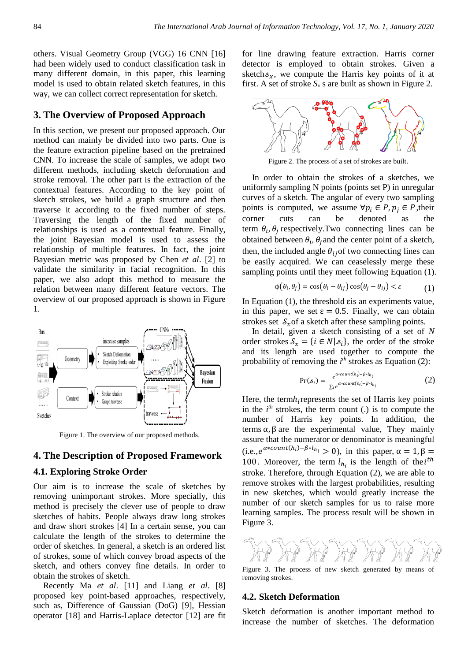others. Visual Geometry Group (VGG) 16 CNN [16] had been widely used to conduct classification task in many different domain, in this paper, this learning model is used to obtain related sketch features, in this way, we can collect correct representation for sketch.

## **3. The Overview of Proposed Approach**

In this section, we present our proposed approach. Our method can mainly be divided into two parts. One is the feature extraction pipeline based on the pretrained CNN. To increase the scale of samples, we adopt two different methods, including sketch deformation and stroke removal. The other part is the extraction of the contextual features. According to the key point of sketch strokes, we build a graph structure and then traverse it according to the fixed number of steps. Traversing the length of the fixed number of relationships is used as a contextual feature. Finally, the joint Bayesian model is used to assess the relationship of multiple features. In fact, the joint Bayesian metric was proposed by Chen *et al*. [2] to validate the similarity in facial recognition. In this paper, we also adopt this method to measure the relation between many different feature vectors. The overview of our proposed approach is shown in Figure 1*.*



Figure 1. The overview of our proposed methods.

## **4. The Description of Proposed Framework**

#### **4.1. Exploring Stroke Order**

Our aim is to increase the scale of sketches by removing unimportant strokes. More specially, this method is precisely the clever use of people to draw sketches of habits. People always draw long strokes and draw short strokes [4] In a certain sense, you can calculate the length of the strokes to determine the order of sketches. In general, a sketch is an ordered list of strokes, some of which convey broad aspects of the sketch, and others convey fine details. In order to obtain the strokes of sketch.

Recently Ma *et al*. [11] and Liang *et al*. [8] proposed key point-based approaches, respectively, such as, Difference of Gaussian (DoG) [9], Hessian operator [18] and Harris-Laplace detector [12] are fit for line drawing feature extraction. Harris corner detector is employed to obtain strokes. Given a sketch $s_x$ , we compute the Harris key points of it at first. A set of stroke  $S_x$  s are built as shown in Figure 2.



Figure 2. The process of a set of strokes are built.

In order to obtain the strokes of a sketches, we uniformly sampling N points (points set P) in unregular curves of a sketch. The angular of every two sampling points is computed, we assume  $\forall p_i \in P, p_i \in P$ , their corner cuts can be denoted as the term  $\theta_i$ ,  $\theta_j$  respectively. Two connecting lines can be obtained between  $\theta_i$ ,  $\theta_j$  and the center point of a sketch, then, the included angle  $\theta_{ij}$  of two connecting lines can be easily acquired. We can ceaselessly merge these sampling points until they meet following Equation (1).

$$
\phi(\theta_i, \theta_j) = \cos(\theta_i - \theta_{ij})\cos(\theta_j - \theta_{ij}) < \varepsilon \tag{1}
$$

In Equation  $(1)$ , the threshold  $\epsilon$  is an experiments value, in this paper, we set  $\varepsilon = 0.5$ . Finally, we can obtain strokes set  $S_x$  of a sketch after these sampling points.

In detail, given a sketch consisting of a set of *N* order strokes  $S_x = \{i \in N | s_i\}$ , the order of the stroke and its length are used together to compute the probability of removing the *i*<sup>th</sup> strokes as Equation (2):

$$
Pr(s_i) = \frac{e^{\alpha \cdot count(h_i) - \beta \cdot l_{h_i}}}{\sum_i e^{\alpha \cdot count(h_i) - \beta \cdot l_{h_i}}}
$$
(2)

Here, the term $h_i$  represents the set of Harris key points in the  $i<sup>th</sup>$  strokes, the term count (.) is to compute the number of Harris key points. In addition, the terms  $\alpha$ , β are the experimental value. They mainly assure that the numerator or denominator is meaningful  $(i.e., e^{\alpha * count(h_i) - \beta * l_{h_i}} > 0)$ , in this paper,  $\alpha = 1, \beta =$ 100. Moreover, the term  $l_{h_i}$  is the length of the  $i^{th}$ stroke. Therefore, through Equation (2), we are able to remove strokes with the largest probabilities, resulting in new sketches, which would greatly increase the number of our sketch samples for us to raise more learning samples. The process result will be shown in Figure 3.



Figure 3. The process of new sketch generated by means of removing strokes.

#### **4.2. Sketch Deformation**

Sketch deformation is another important method to increase the number of sketches. The deformation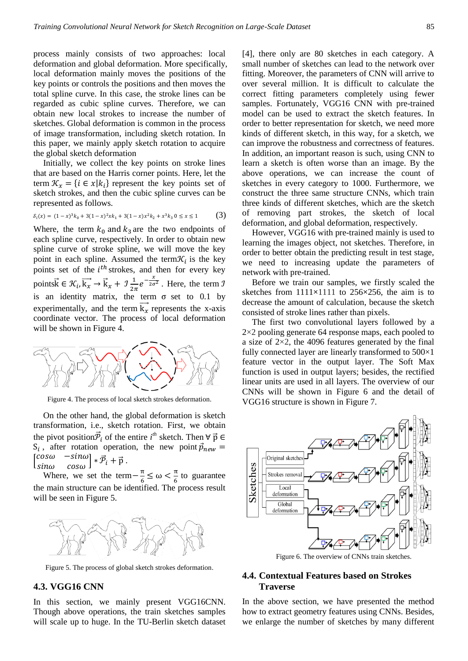process mainly consists of two approaches: local deformation and global deformation. More specifically, local deformation mainly moves the positions of the key points or controls the positions and then moves the total spline curve. In this case, the stroke lines can be regarded as cubic spline curves. Therefore, we can obtain new local strokes to increase the number of sketches. Global deformation is common in the process of image transformation, including sketch rotation. In this paper, we mainly apply sketch rotation to acquire the global sketch deformation

Initially, we collect the key points on stroke lines that are based on the Harris corner points. Here, let the term  $\mathcal{K}_x = \{i \in x | k_i\}$  represent the key points set of sketch strokes, and then the cubic spline curves can be represented as follows.

$$
S_i(x) = (1-x)^3 k_0 + 3(1-x)^2 x k_1 + 3(1-x) x^2 k_2 + x^3 k_3 0 \le x \le 1
$$
 (3)

Where, the term  $k_0$  and  $k_3$  are the two endpoints of each spline curve, respectively. In order to obtain new spline curve of stroke spline, we will move the key point in each spline. Assumed the term  $\mathcal{K}_i$  is the key points set of the  $i<sup>th</sup>$  strokes, and then for every key pointsk  $\vec{k} \in \mathcal{K}_i, \vec{k}_x \rightarrow \vec{k}_x + \mathcal{I} \frac{1}{2i}$  $\frac{1}{2\pi}e^{-\frac{x}{2\sigma^2}}$ . Here, the term  $\mathcal{I}$ is an identity matrix, the term  $\sigma$  set to 0.1 by experimentally, and the term  $\overrightarrow{k_x}$  represents the x-axis coordinate vector. The process of local deformation will be shown in Figure 4.



Figure 4. The process of local sketch strokes deformation.

On the other hand, the global deformation is sketch transformation, i.e., sketch rotation. First, we obtain the pivot position $\vec{\mathcal{P}}_i$  of the entire  $i^{th}$  sketch. Then  $\forall \vec{p} \in$  $S_i$ , after rotation operation, the new point  $\vec{p}_{new}$  =  $\begin{bmatrix} cos\omega & -sin\omega \\ sin\omega & -cos\omega \end{bmatrix}$  $\begin{bmatrix} cos\omega & -sin\omega \\ sin\omega & cos\omega \end{bmatrix} * \vec{\mathcal{P}}_i + \vec{p}$  .

Where, we set the term $-\frac{\pi}{6}$  $\frac{\pi}{6} \leq \omega < \frac{\pi}{6}$  $\frac{\pi}{6}$  to guarantee the main structure can be identified. The process result will be seen in Figure 5.



Figure 5. The process of global sketch strokes deformation.

# **4.3. VGG16 CNN**

In this section, we mainly present VGG16CNN. Though above operations, the train sketches samples will scale up to huge. In the TU-Berlin sketch dataset [4], there only are 80 sketches in each category. A small number of sketches can lead to the network over fitting. Moreover, the parameters of CNN will arrive to over several million. It is difficult to calculate the correct fitting parameters completely using fewer samples. Fortunately, VGG16 CNN with pre-trained model can be used to extract the sketch features. In order to better representation for sketch, we need more kinds of different sketch, in this way, for a sketch, we can improve the robustness and correctness of features. In addition, an important reason is such, using CNN to learn a sketch is often worse than an image. By the above operations, we can increase the count of sketches in every category to 1000. Furthermore, we construct the three same structure CNNs, which train three kinds of different sketches, which are the sketch of removing part strokes, the sketch of local deformation, and global deformation, respectively.

However, VGG16 with pre-trained mainly is used to learning the images object, not sketches. Therefore, in order to better obtain the predicting result in test stage, we need to increasing update the parameters of network with pre-trained.

Before we train our samples, we firstly scaled the sketches from 1111**×**1111 to 256**×**256, the aim is to decrease the amount of calculation, because the sketch consisted of stroke lines rather than pixels.

The first two convolutional layers followed by a  $2\times2$  pooling generate 64 response maps, each pooled to a size of 2×2, the 4096 features generated by the final fully connected layer are linearly transformed to 500×1 feature vector in the output layer. The Soft Max function is used in output layers; besides, the rectified linear units are used in all layers. The overview of our CNNs will be shown in Figure 6 and the detail of VGG16 structure is shown in Figure 7.



Figure 6. The overview of CNNs train sketches.

## **4.4. Contextual Features based on Strokes Traverse**

In the above section, we have presented the method how to extract geometry features using CNNs. Besides, we enlarge the number of sketches by many different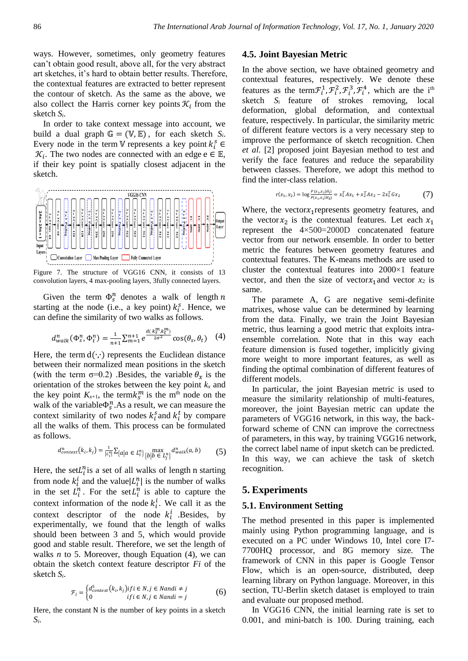ways. However, sometimes, only geometry features can't obtain good result, above all, for the very abstract art sketches, it's hard to obtain better results. Therefore, the contextual features are extracted to better represent the contour of sketch. As the same as the above, we also collect the Harris corner key points  $\mathcal{K}_i$  from the sketch *Si*.

In order to take context message into account, we build a dual graph  $\mathbb{G} = (\mathbb{V}, \mathbb{E})$ , for each sketch *S<sub>i</sub>*. Every node in the term V represents a key point  $k_i^s$   $\in$  $\mathcal{K}_i$ . The two nodes are connected with an edge e  $\in \mathbb{E}$ , if their key point is spatially closest adjacent in the sketch.



Figure 7. The structure of VGG16 CNN, it consists of 13 convolution layers, 4 max-pooling layers, 3fully connected layers.

Given the term  $\Phi_s^n$  denotes a walk of length n starting at the node (i.e., a key point)  $k_i^s$ . Hence, we can define the similarity of two walks as follows.

$$
d_{walk}^{n}(\Phi_{s}^{n}, \Phi_{t}^{n}) = \frac{1}{n+1} \sum_{m=1}^{n+1} e^{\frac{d(k_{s}^{m}, k_{t}^{m})}{2\sigma^{2}}} \cos(\theta_{s}, \theta_{t}) \quad (4)
$$

Here, the term d(∙,∙) represents the Euclidean distance between their normalized mean positions in the sketch (with the term  $\sigma=0.2$ ) .Besides, the variable  $\theta_x$  is the orientation of the strokes between the key point  $k_x$  and the key point  $K_{x+1}$ , the term $k_s^m$  is the m<sup>th</sup> node on the walk of the variable  $\Phi_{\mathcal{S}}^n$ . As a result, we can measure the context similarity of two nodes  $k_i^s$  and  $k_i^t$  by compare all the walks of them. This process can be formulated as follows.

$$
d_{context}^n(k_i, k_j) = \frac{1}{|L_i^n|} \sum_{\{a | a \in L_i^n\}} \max_{\{b | b \in L_j^n\}} d_{walk}^n(a, b)
$$
 (5)

Here, the set  $L_i^n$  is a set of all walks of length n starting from node  $k_i^i$  and the value  $|L_i^n|$  is the number of walks in the set  $L_i^n$ . For the set  $L_i^n$  is able to capture the context information of the node  $k_i^i$ . We call it as the context descriptor of the node  $k_i^i$  Besides, by experimentally, we found that the length of walks should been between 3 and 5, which would provide good and stable result. Therefore, we set the length of walks  $n$  to 5. Moreover, though Equation  $(4)$ , we can obtain the sketch context feature descriptor *Fi* of the sketch *Si*.

$$
\mathcal{F}_i = \begin{cases} d_{context}^5(k_i, k_j) \text{ if } i \in N, j \in \text{N} \text{ and } i \neq j \\ 0 & \text{ if } i \in N, j \in \text{N} \text{ and } i = j \end{cases} \tag{6}
$$

Here, the constant N is the number of key points in a sketch *Si*.

#### **4.5. Joint Bayesian Metric**

In the above section, we have obtained geometry and contextual features, respectively. We denote these features as the term  $\mathcal{F}_i^1$ ,  $\mathcal{F}_i^2$ ,  $\mathcal{F}_i^3$ ,  $\mathcal{F}_i^4$ , which are the i<sup>th</sup> sketch *S*<sup>i</sup> feature of strokes removing, local deformation, global deformation, and contextual feature, respectively. In particular, the similarity metric of different feature vectors is a very necessary step to improve the performance of sketch recognition. Chen *et al.* [2] proposed joint Bayesian method to test and verify the face features and reduce the separability between classes. Therefore, we adopt this method to find the inter-class relation.

$$
r(x_1, x_2) = \log \frac{P(x_1, x_2 | H_I)}{P(x_1, x_2 | H_E)} = x_1^T A x_1 + x_2^T A x_2 - 2 x_1^T G x_2 \tag{7}
$$

Where, the vector $x_1$ represents geometry features, and the vector  $x_2$  is the contextual features. Let each  $x_1$ represent the 4×500=2000D concatenated feature vector from our network ensemble. In order to better metric the features between geometry features and contextual features. The K-means methods are used to cluster the contextual features into 2000×1 feature vector, and then the size of vector $x_1$  and vector  $x_2$  is same.

The paramete A, G are negative semi-definite matrixes, whose value can be determined by learning from the data. Finally, we train the Joint Bayesian metric, thus learning a good metric that exploits intraensemble correlation. Note that in this way each feature dimension is fused together, implicitly giving more weight to more important features, as well as finding the optimal combination of different features of different models.

In particular, the joint Bayesian metric is used to measure the similarity relationship of multi-features, moreover, the joint Bayesian metric can update the parameters of VGG16 network, in this way, the backforward scheme of CNN can improve the correctness of parameters, in this way, by training VGG16 network, the correct label name of input sketch can be predicted. In this way, we can achieve the task of sketch recognition.

## **5. Experiments**

#### **5.1. Environment Setting**

The method presented in this paper is implemented mainly using Python programming language, and is executed on a PC under Windows 10, Intel core I7- 7700HQ processor, and 8G memory size. The framework of CNN in this paper is Google Tensor Flow, which is an open-source, distributed, deep learning library on Python language. Moreover, in this section, TU-Berlin sketch dataset is employed to train and evaluate our proposed method.

In VGG16 CNN, the initial learning rate is set to 0.001, and mini-batch is 100. During training, each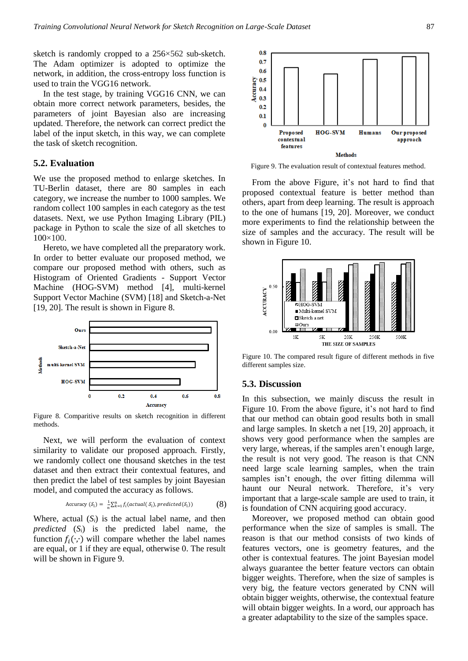sketch is randomly cropped to a 256×562 sub-sketch. The Adam optimizer is adopted to optimize the network, in addition, the cross-entropy loss function is used to train the VGG16 network.

In the test stage, by training VGG16 CNN, we can obtain more correct network parameters, besides, the parameters of joint Bayesian also are increasing updated. Therefore, the network can correct predict the label of the input sketch, in this way, we can complete the task of sketch recognition.

#### **5.2. Evaluation**

We use the proposed method to enlarge sketches. In TU-Berlin dataset, there are 80 samples in each category, we increase the number to 1000 samples. We random collect 100 samples in each category as the test datasets. Next, we use Python Imaging Library (PIL) package in Python to scale the size of all sketches to 100×100.

Hereto, we have completed all the preparatory work. In order to better evaluate our proposed method, we compare our proposed method with others, such as Histogram of Oriented Gradients - Support Vector Machine (HOG-SVM) method [4], multi-kernel Support Vector Machine (SVM) [18] and Sketch-a-Net [19, 20]. The result is shown in Figure 8.



Figure 8. Comparitive results on sketch recognition in different methods.

Next, we will perform the evaluation of context similarity to validate our proposed approach. Firstly, we randomly collect one thousand sketches in the test dataset and then extract their contextual features, and then predict the label of test samples by joint Bayesian model, and computed the accuracy as follows.

$$
\text{Accuracy } (\mathcal{S}_i) = \frac{1}{n} \sum_{k=1}^n f_i(\text{actual}(\mathcal{S}_i), \text{predicted}(\mathcal{S}_i)) \tag{8}
$$

Where, actual  $(S_i)$  is the actual label name, and then *predicted* (*Si*) is the predicted label name, the function  $f_i(\cdot, \cdot)$  will compare whether the label names are equal, or 1 if they are equal, otherwise 0. The result will be shown in Figure 9.



Figure 9. The evaluation result of contextual features method.

From the above Figure, it's not hard to find that proposed contextual feature is better method than others, apart from deep learning. The result is approach to the one of humans [19, 20]. Moreover, we conduct more experiments to find the relationship between the size of samples and the accuracy. The result will be shown in Figure 10.



Figure 10. The compared result figure of different methods in five different samples size.

#### **5.3. Discussion**

In this subsection, we mainly discuss the result in Figure 10. From the above figure, it's not hard to find that our method can obtain good results both in small and large samples. In sketch a net [19, 20] approach, it shows very good performance when the samples are very large, whereas, if the samples aren't enough large, the result is not very good. The reason is that CNN need large scale learning samples, when the train samples isn't enough, the over fitting dilemma will haunt our Neural network. Therefore, it's very important that a large-scale sample are used to train, it is foundation of CNN acquiring good accuracy.

Moreover, we proposed method can obtain good performance when the size of samples is small. The reason is that our method consists of two kinds of features vectors, one is geometry features, and the other is contextual features. The joint Bayesian model always guarantee the better feature vectors can obtain bigger weights. Therefore, when the size of samples is very big, the feature vectors generated by CNN will obtain bigger weights, otherwise, the contextual feature will obtain bigger weights. In a word, our approach has a greater adaptability to the size of the samples space.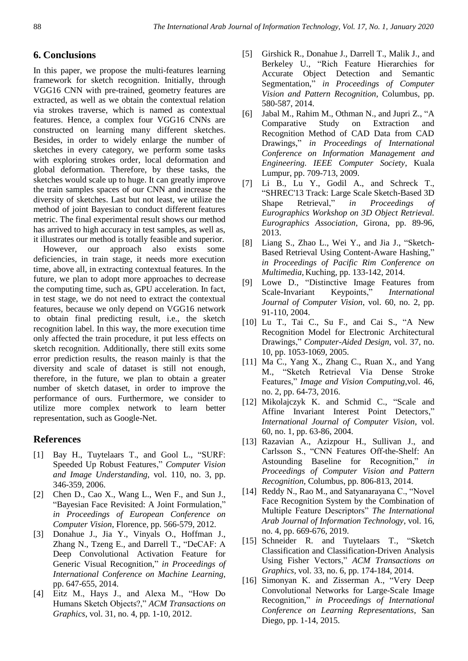# **6. Conclusions**

In this paper, we propose the multi-features learning framework for sketch recognition. Initially, through VGG16 CNN with pre-trained, geometry features are extracted, as well as we obtain the contextual relation via strokes traverse, which is named as contextual features. Hence, a complex four VGG16 CNNs are constructed on learning many different sketches. Besides, in order to widely enlarge the number of sketches in every category, we perform some tasks with exploring strokes order, local deformation and global deformation. Therefore, by these tasks, the sketches would scale up to huge. It can greatly improve the train samples spaces of our CNN and increase the diversity of sketches. Last but not least, we utilize the method of joint Bayesian to conduct different features metric. The final experimental result shows our method has arrived to high accuracy in test samples, as well as, it illustrates our method is totally feasible and superior.

However, our approach also exists some deficiencies, in train stage, it needs more execution time, above all, in extracting contextual features. In the future, we plan to adopt more approaches to decrease the computing time, such as, GPU acceleration. In fact, in test stage, we do not need to extract the contextual features, because we only depend on VGG16 network to obtain final predicting result, i.e., the sketch recognition label. In this way, the more execution time only affected the train procedure, it put less effects on sketch recognition. Additionally, there still exits some error prediction results, the reason mainly is that the diversity and scale of dataset is still not enough, therefore, in the future, we plan to obtain a greater number of sketch dataset, in order to improve the performance of ours. Furthermore, we consider to utilize more complex network to learn better representation, such as Google-Net.

# **References**

- [1] Bay H., Tuytelaars T., and Gool L., "SURF: Speeded Up Robust Features," *Computer Vision and Image Understanding*, vol. 110, no. 3, pp. 346-359, 2006.
- [2] Chen D., Cao X., Wang L., Wen F., and Sun J., "Bayesian Face Revisited: A Joint Formulation," *in Proceedings of European Conference on Computer Vision*, Florence, pp. 566-579, 2012.
- [3] Donahue J., Jia Y., Vinyals O., Hoffman J., Zhang N., Tzeng E., and Darrell T., "DeCAF: A Deep Convolutional Activation Feature for Generic Visual Recognition," *in Proceedings of International Conference on Machine Learning*, pp. 647-655, 2014.
- [4] Eitz M., Hays J., and Alexa M., "How Do Humans Sketch Objects?," *ACM Transactions on Graphics*, vol. 31, no. 4, pp. 1-10, 2012.
- [5] Girshick R., Donahue J., Darrell T., Malik J., and Berkeley U., "Rich Feature Hierarchies for Accurate Object Detection and Semantic Segmentation," *in Proceedings of Computer Vision and Pattern Recognition*, Columbus, pp. 580-587, 2014.
- [6] Jabal M., Rahim M., Othman N., and Jupri Z., "A Comparative Study on Extraction and Recognition Method of CAD Data from CAD Drawings," *in Proceedings of International Conference on Information Management and Engineering. IEEE Computer Society*, Kuala Lumpur, pp. 709-713, 2009.
- [7] Li B., Lu Y., Godil A., and Schreck T., "SHREC'13 Track: Large Scale Sketch-Based 3D Shape Retrieval," *in Proceedings of Eurographics Workshop on 3D Object Retrieval. Eurographics Association*, Girona, pp. 89-96, 2013.
- [8] Liang S., Zhao L., Wei Y., and Jia J., "Sketch-Based Retrieval Using Content-Aware Hashing," *in Proceedings of Pacific Rim Conference on Multimedia*, Kuching, pp. 133-142, 2014.
- [9] Lowe D., "Distinctive Image Features from Scale-Invariant Keypoints," *International Journal of Computer Vision*, vol. 60, no. 2, pp. 91-110, 2004.
- [10] Lu T., Tai C., Su F., and Cai S., "A New Recognition Model for Electronic Architectural Drawings," *Computer-Aided Design*, vol. 37, no. 10, pp. 1053-1069, 2005.
- [11] Ma C., Yang X., Zhang C., Ruan X., and Yang M., "Sketch Retrieval Via Dense Stroke Features," *Image and Vision Computing*,vol. 46, no. 2, pp. 64-73, 2016.
- [12] Mikolajczyk K. and Schmid C., "Scale and Affine Invariant Interest Point Detectors," *International Journal of Computer Vision*, vol. 60, no. 1, pp. 63-86, 2004.
- [13] Razavian A., Azizpour H., Sullivan J., and Carlsson S., "CNN Features Off-the-Shelf: An Astounding Baseline for Recognition," *in Proceedings of Computer Vision and Pattern Recognition*, Columbus, pp. 806-813, 2014.
- [14] Reddy N., Rao M., and Satyanarayana C., "Novel Face Recognition System by the Combination of Multiple Feature Descriptors" *The International Arab Journal of Information Technology*, vol. 16, no. 4, pp. 669-676, 2019.
- [15] Schneider R. and Tuytelaars T., "Sketch Classification and Classification-Driven Analysis Using Fisher Vectors," *ACM Transactions on Graphics*, vol. 33, no. 6, pp. 174-184, 2014.
- [16] Simonyan K. and Zisserman A., "Very Deep Convolutional Networks for Large-Scale Image Recognition," *in Proceedings of International Conference on Learning Representations*, San Diego, pp. 1-14, 2015.